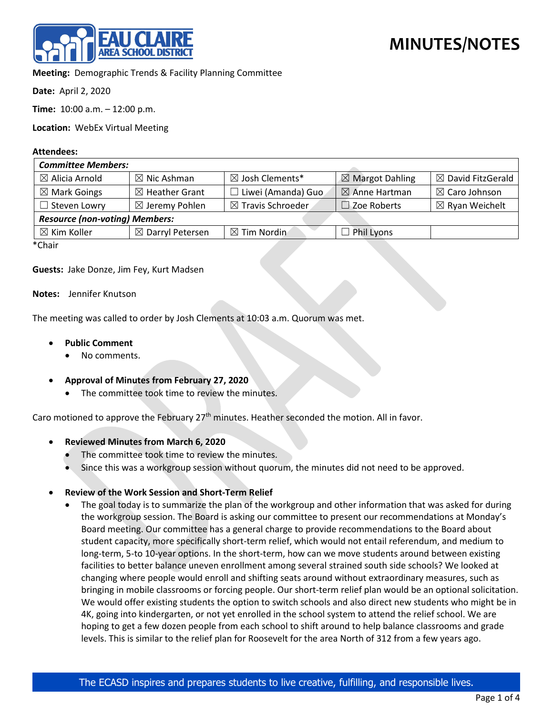

**Meeting:** Demographic Trends & Facility Planning Committee

**Date:** April 2, 2020

**Time:** 10:00 a.m. – 12:00 p.m.

**Location:** WebEx Virtual Meeting

## **Attendees:**

| <b>Committee Members:</b>             |                             |                              |                            |                              |
|---------------------------------------|-----------------------------|------------------------------|----------------------------|------------------------------|
| $\boxtimes$ Alicia Arnold             | $\boxtimes$ Nic Ashman      | ⊠ Josh Clements*             | $\boxtimes$ Margot Dahling | $\boxtimes$ David FitzGerald |
| $\boxtimes$ Mark Goings               | $\boxtimes$ Heather Grant   | $\Box$ Liwei (Amanda) Guo    | $\boxtimes$ Anne Hartman   | $\boxtimes$ Caro Johnson     |
| $\Box$ Steven Lowry                   | $\boxtimes$ Jeremy Pohlen   | $\boxtimes$ Travis Schroeder | $\Box$ Zoe Roberts         | $\boxtimes$ Ryan Weichelt    |
| <b>Resource (non-voting) Members:</b> |                             |                              |                            |                              |
| $\boxtimes$ Kim Koller                | $\boxtimes$ Darryl Petersen | $\boxtimes$ Tim Nordin       | $\Box$ Phil Lyons          |                              |
| $*$ $Ch$ $\sim$ ir                    |                             |                              |                            |                              |

\*Chair

## **Guests:** Jake Donze, Jim Fey, Kurt Madsen

## **Notes:** Jennifer Knutson

The meeting was called to order by Josh Clements at 10:03 a.m. Quorum was met.

- **Public Comment**
	- No comments.
- **Approval of Minutes from February 27, 2020**
	- The committee took time to review the minutes.

Caro motioned to approve the February  $27<sup>th</sup>$  minutes. Heather seconded the motion. All in favor.

- **Reviewed Minutes from March 6, 2020**
	- The committee took time to review the minutes.
	- Since this was a workgroup session without quorum, the minutes did not need to be approved.

## • **Review of the Work Session and Short-Term Relief**

The goal today is to summarize the plan of the workgroup and other information that was asked for during the workgroup session. The Board is asking our committee to present our recommendations at Monday's Board meeting. Our committee has a general charge to provide recommendations to the Board about student capacity, more specifically short-term relief, which would not entail referendum, and medium to long-term, 5-to 10-year options. In the short-term, how can we move students around between existing facilities to better balance uneven enrollment among several strained south side schools? We looked at changing where people would enroll and shifting seats around without extraordinary measures, such as bringing in mobile classrooms or forcing people. Our short-term relief plan would be an optional solicitation. We would offer existing students the option to switch schools and also direct new students who might be in 4K, going into kindergarten, or not yet enrolled in the school system to attend the relief school. We are hoping to get a few dozen people from each school to shift around to help balance classrooms and grade levels. This is similar to the relief plan for Roosevelt for the area North of 312 from a few years ago.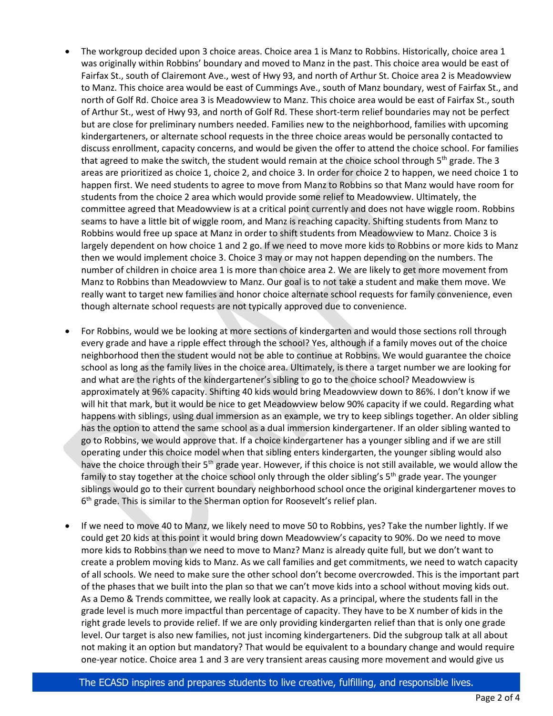- The workgroup decided upon 3 choice areas. Choice area 1 is Manz to Robbins. Historically, choice area 1 was originally within Robbins' boundary and moved to Manz in the past. This choice area would be east of Fairfax St., south of Clairemont Ave., west of Hwy 93, and north of Arthur St. Choice area 2 is Meadowview to Manz. This choice area would be east of Cummings Ave., south of Manz boundary, west of Fairfax St., and north of Golf Rd. Choice area 3 is Meadowview to Manz. This choice area would be east of Fairfax St., south of Arthur St., west of Hwy 93, and north of Golf Rd. These short-term relief boundaries may not be perfect but are close for preliminary numbers needed. Families new to the neighborhood, families with upcoming kindergarteners, or alternate school requests in the three choice areas would be personally contacted to discuss enrollment, capacity concerns, and would be given the offer to attend the choice school. For families that agreed to make the switch, the student would remain at the choice school through  $5<sup>th</sup>$  grade. The 3 areas are prioritized as choice 1, choice 2, and choice 3. In order for choice 2 to happen, we need choice 1 to happen first. We need students to agree to move from Manz to Robbins so that Manz would have room for students from the choice 2 area which would provide some relief to Meadowview. Ultimately, the committee agreed that Meadowview is at a critical point currently and does not have wiggle room. Robbins seams to have a little bit of wiggle room, and Manz is reaching capacity. Shifting students from Manz to Robbins would free up space at Manz in order to shift students from Meadowview to Manz. Choice 3 is largely dependent on how choice 1 and 2 go. If we need to move more kids to Robbins or more kids to Manz then we would implement choice 3. Choice 3 may or may not happen depending on the numbers. The number of children in choice area 1 is more than choice area 2. We are likely to get more movement from Manz to Robbins than Meadowview to Manz. Our goal is to not take a student and make them move. We really want to target new families and honor choice alternate school requests for family convenience, even though alternate school requests are not typically approved due to convenience.
- For Robbins, would we be looking at more sections of kindergarten and would those sections roll through every grade and have a ripple effect through the school? Yes, although if a family moves out of the choice neighborhood then the student would not be able to continue at Robbins. We would guarantee the choice school as long as the family lives in the choice area. Ultimately, is there a target number we are looking for and what are the rights of the kindergartener's sibling to go to the choice school? Meadowview is approximately at 96% capacity. Shifting 40 kids would bring Meadowview down to 86%. I don't know if we will hit that mark, but it would be nice to get Meadowview below 90% capacity if we could. Regarding what happens with siblings, using dual immersion as an example, we try to keep siblings together. An older sibling has the option to attend the same school as a dual immersion kindergartener. If an older sibling wanted to go to Robbins, we would approve that. If a choice kindergartener has a younger sibling and if we are still operating under this choice model when that sibling enters kindergarten, the younger sibling would also have the choice through their 5<sup>th</sup> grade year. However, if this choice is not still available, we would allow the family to stay together at the choice school only through the older sibling's 5<sup>th</sup> grade year. The younger siblings would go to their current boundary neighborhood school once the original kindergartener moves to  $6<sup>th</sup>$  grade. This is similar to the Sherman option for Roosevelt's relief plan.
- If we need to move 40 to Manz, we likely need to move 50 to Robbins, yes? Take the number lightly. If we could get 20 kids at this point it would bring down Meadowview's capacity to 90%. Do we need to move more kids to Robbins than we need to move to Manz? Manz is already quite full, but we don't want to create a problem moving kids to Manz. As we call families and get commitments, we need to watch capacity of all schools. We need to make sure the other school don't become overcrowded. This is the important part of the phases that we built into the plan so that we can't move kids into a school without moving kids out. As a Demo & Trends committee, we really look at capacity. As a principal, where the students fall in the grade level is much more impactful than percentage of capacity. They have to be X number of kids in the right grade levels to provide relief. If we are only providing kindergarten relief than that is only one grade level. Our target is also new families, not just incoming kindergarteners. Did the subgroup talk at all about not making it an option but mandatory? That would be equivalent to a boundary change and would require one-year notice. Choice area 1 and 3 are very transient areas causing more movement and would give us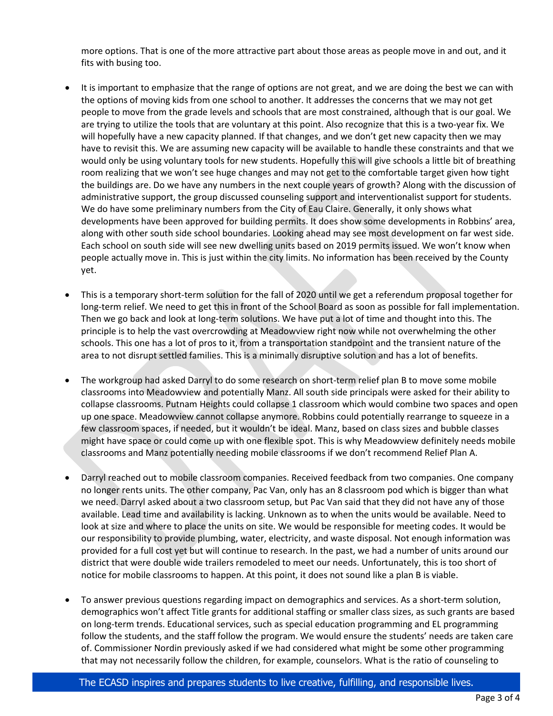more options. That is one of the more attractive part about those areas as people move in and out, and it fits with busing too.

- It is important to emphasize that the range of options are not great, and we are doing the best we can with the options of moving kids from one school to another. It addresses the concerns that we may not get people to move from the grade levels and schools that are most constrained, although that is our goal. We are trying to utilize the tools that are voluntary at this point. Also recognize that this is a two-year fix. We will hopefully have a new capacity planned. If that changes, and we don't get new capacity then we may have to revisit this. We are assuming new capacity will be available to handle these constraints and that we would only be using voluntary tools for new students. Hopefully this will give schools a little bit of breathing room realizing that we won't see huge changes and may not get to the comfortable target given how tight the buildings are. Do we have any numbers in the next couple years of growth? Along with the discussion of administrative support, the group discussed counseling support and interventionalist support for students. We do have some preliminary numbers from the City of Eau Claire. Generally, it only shows what developments have been approved for building permits. It does show some developments in Robbins' area, along with other south side school boundaries. Looking ahead may see most development on far west side. Each school on south side will see new dwelling units based on 2019 permits issued. We won't know when people actually move in. This is just within the city limits. No information has been received by the County yet.
- This is a temporary short-term solution for the fall of 2020 until we get a referendum proposal together for long-term relief. We need to get this in front of the School Board as soon as possible for fall implementation. Then we go back and look at long-term solutions. We have put a lot of time and thought into this. The principle is to help the vast overcrowding at Meadowview right now while not overwhelming the other schools. This one has a lot of pros to it, from a transportation standpoint and the transient nature of the area to not disrupt settled families. This is a minimally disruptive solution and has a lot of benefits.
- The workgroup had asked Darryl to do some research on short-term relief plan B to move some mobile classrooms into Meadowview and potentially Manz. All south side principals were asked for their ability to collapse classrooms. Putnam Heights could collapse 1 classroom which would combine two spaces and open up one space. Meadowview cannot collapse anymore. Robbins could potentially rearrange to squeeze in a few classroom spaces, if needed, but it wouldn't be ideal. Manz, based on class sizes and bubble classes might have space or could come up with one flexible spot. This is why Meadowview definitely needs mobile classrooms and Manz potentially needing mobile classrooms if we don't recommend Relief Plan A.
- Darryl reached out to mobile classroom companies. Received feedback from two companies. One company no longer rents units. The other company, Pac Van, only has an 8 classroom pod which is bigger than what we need. Darryl asked about a two classroom setup, but Pac Van said that they did not have any of those available. Lead time and availability is lacking. Unknown as to when the units would be available. Need to look at size and where to place the units on site. We would be responsible for meeting codes. It would be our responsibility to provide plumbing, water, electricity, and waste disposal. Not enough information was provided for a full cost yet but will continue to research. In the past, we had a number of units around our district that were double wide trailers remodeled to meet our needs. Unfortunately, this is too short of notice for mobile classrooms to happen. At this point, it does not sound like a plan B is viable.
- To answer previous questions regarding impact on demographics and services. As a short-term solution, demographics won't affect Title grants for additional staffing or smaller class sizes, as such grants are based on long-term trends. Educational services, such as special education programming and EL programming follow the students, and the staff follow the program. We would ensure the students' needs are taken care of. Commissioner Nordin previously asked if we had considered what might be some other programming that may not necessarily follow the children, for example, counselors. What is the ratio of counseling to